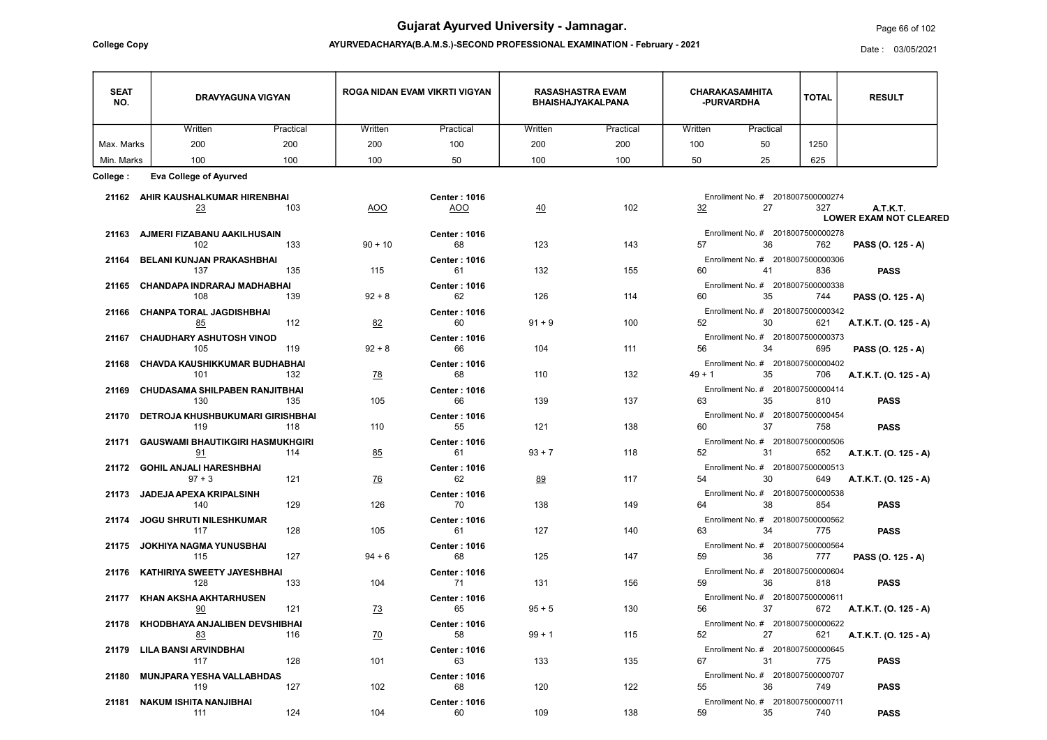**ATION - February - 2021** 

| <b>College Copy</b> | AYURVEDACHARYA(B.A.M.S.)-SECOND PROFESSIONAL EXAMINATION - February - 2021 |                               |                                                     |                                     |              |               |  |  |  |
|---------------------|----------------------------------------------------------------------------|-------------------------------|-----------------------------------------------------|-------------------------------------|--------------|---------------|--|--|--|
| <b>SEAT</b><br>NO.  | DRAVYAGUNA VIGYAN                                                          | ROGA NIDAN EVAM VIKRTI VIGYAN | <b>RASASHASTRA EVAM</b><br><b>BHAISHAJYAKALPANA</b> | <b>CHARAKASAMHITA</b><br>-PURVARDHA | <b>TOTAL</b> | <b>RESULT</b> |  |  |  |

## Page 66 of 102

| <b>SEAT</b><br>NO. | <b>DRAVYAGUNA VIGYAN</b>                 |           | ROGA NIDAN EVAM VIKRTI VIGYAN |                                   | <b>RASASHASTRA EVAM</b><br><b>BHAISHAJYAKALPANA</b> |           | <b>CHARAKASAMHITA</b><br>-PURVARDHA |                                               | <b>TOTAL</b> | <b>RESULT</b>                    |
|--------------------|------------------------------------------|-----------|-------------------------------|-----------------------------------|-----------------------------------------------------|-----------|-------------------------------------|-----------------------------------------------|--------------|----------------------------------|
|                    | Written                                  | Practical | Written                       | Practical                         | Written                                             | Practical | Written                             | Practical                                     |              |                                  |
| Max. Marks         | 200                                      | 200       | 200                           | 100                               | 200                                                 | 200       | 100                                 | 50                                            | 1250         |                                  |
| Min. Marks         | 100                                      | 100       | 100                           | 50                                | 100                                                 | 100       | 50                                  | 25                                            | 625          |                                  |
| College :          | <b>Eva College of Ayurved</b>            |           |                               |                                   |                                                     |           |                                     |                                               |              |                                  |
|                    |                                          |           |                               |                                   |                                                     |           |                                     | Enrollment No. # 2018007500000274             |              |                                  |
|                    | 21162 AHIR KAUSHALKUMAR HIRENBHAI<br>23  | 103       | <b>AOO</b>                    | <b>Center: 1016</b><br><u>AOO</u> | 40                                                  | 102       | 32                                  | 27                                            | 327          | <b>A.T.K.T.</b>                  |
|                    |                                          |           |                               |                                   |                                                     |           |                                     |                                               |              | <b>LOWER EXAM NOT CLEARED</b>    |
|                    | 21163 AJMERI FIZABANU AAKILHUSAIN        |           |                               | <b>Center: 1016</b>               |                                                     |           |                                     | Enrollment No. # 2018007500000278             |              |                                  |
|                    | 102                                      | 133       | $90 + 10$                     | 68                                | 123                                                 | 143       | 57                                  | 36                                            | 762          | PASS (O. 125 - A)                |
|                    | 21164 BELANI KUNJAN PRAKASHBHAI          |           |                               | <b>Center: 1016</b>               |                                                     |           |                                     | Enrollment No. # 2018007500000306             |              |                                  |
|                    | 137                                      | 135       | 115                           | 61                                | 132                                                 | 155       | 60                                  | 41 — 1                                        | 836          | <b>PASS</b>                      |
|                    | 21165 CHANDAPA INDRARAJ MADHABHAI<br>108 | 139       | $92 + 8$                      | <b>Center: 1016</b><br>62         | 126                                                 | 114       | 60                                  | Enrollment No. # 2018007500000338<br>35       | 744          | PASS (O. 125 - A)                |
|                    |                                          |           |                               |                                   |                                                     |           |                                     | Enrollment No. # 2018007500000342             |              |                                  |
|                    | 21166 CHANPA TORAL JAGDISHBHAI<br>85     | 112       | 82                            | <b>Center: 1016</b><br>60         | $91 + 9$                                            | 100       | 52                                  | 30 <sub>2</sub>                               | 621          | A.T.K.T. (O. 125 - A)            |
|                    | 21167 CHAUDHARY ASHUTOSH VINOD           |           |                               | <b>Center: 1016</b>               |                                                     |           |                                     | Enrollment No. # 2018007500000373             |              |                                  |
|                    | 105                                      | 119       | $92 + 8$                      | 66                                | 104                                                 | 111       | 56                                  | 34                                            | 695          | PASS (O. 125 - A)                |
|                    | 21168 CHAVDA KAUSHIKKUMAR BUDHABHAI      |           |                               | <b>Center: 1016</b>               |                                                     |           |                                     | Enrollment No. # 2018007500000402             |              |                                  |
|                    | 101                                      | 132       | <u>78</u>                     | 68                                | 110                                                 | 132       | $49 + 1$                            | 35                                            | 706          | A.T.K.T. (O. 125 - A)            |
|                    | 21169 CHUDASAMA SHILPABEN RANJITBHAI     |           |                               | <b>Center: 1016</b>               |                                                     |           |                                     | Enrollment No. # 2018007500000414             |              |                                  |
|                    | 130                                      | 135       | 105                           | 66                                | 139                                                 | 137       | 63                                  | 35                                            | 810          | <b>PASS</b>                      |
|                    | 21170 DETROJA KHUSHBUKUMARI GIRISHBHAI   |           |                               | <b>Center: 1016</b>               |                                                     |           |                                     | Enrollment No. # 2018007500000454             |              |                                  |
|                    | 119                                      | 118       | 110                           | 55                                | 121                                                 | 138       | 60                                  | 37                                            | 758          | <b>PASS</b>                      |
| 21171              | <b>GAUSWAMI BHAUTIKGIRI HASMUKHGIRI</b>  |           |                               | <b>Center: 1016</b>               |                                                     |           |                                     | Enrollment No. # 2018007500000506             |              |                                  |
|                    | 91                                       | 114       | 85                            | 61                                | $93 + 7$                                            | 118       | 52                                  | 31                                            | 652          | A.T.K.T. (O. 125 - A)            |
|                    | 21172 GOHIL ANJALI HARESHBHAI            |           |                               | <b>Center: 1016</b>               |                                                     | 117       |                                     | Enrollment No. # 2018007500000513             |              |                                  |
|                    | $97 + 3$                                 | 121       | $\overline{26}$               | 62                                | 89                                                  |           |                                     | 54 30                                         |              | 649 <b>A.T.K.T. (O. 125 - A)</b> |
|                    | 21173 JADEJA APEXA KRIPALSINH<br>- 140   | 129       | 126                           | <b>Center: 1016</b><br>70         | 138                                                 | 149       |                                     | Enrollment No. # 2018007500000538<br>64 38    | 854          | <b>PASS</b>                      |
|                    | 21174 JOGU SHRUTI NILESHKUMAR            |           |                               | <b>Center: 1016</b>               |                                                     |           |                                     | Enrollment No. # 2018007500000562             |              |                                  |
|                    | 117                                      | 128       | 105                           | 61 — 1                            | 127                                                 | 140       |                                     | 63 34                                         | 775          | <b>PASS</b>                      |
|                    | 21175 JOKHIYA NAGMA YUNUSBHAI            |           |                               | <b>Center: 1016</b>               |                                                     |           |                                     | Enrollment No. # 2018007500000564             |              |                                  |
|                    | and $\sim$ 115                           | 127       | $94 + 6$                      | 68                                | 125                                                 | 147       |                                     | 59 36                                         |              | 777 PASS (O. 125 - A)            |
|                    | 21176 KATHIRIYA SWEETY JAYESHBHAI        |           |                               | <b>Center: 1016</b>               |                                                     |           |                                     | Enrollment No. # 2018007500000604             |              |                                  |
|                    | 128                                      | 133       | 104                           | 71                                | 131                                                 | 156       |                                     | 59 36                                         |              | <b>PASS</b><br>818 — 18          |
|                    | 21177 KHAN AKSHA AKHTARHUSEN             |           |                               | <b>Center: 1016</b>               |                                                     |           |                                     | Enrollment No. # 2018007500000611             |              |                                  |
|                    | 90                                       | 121       | $\frac{73}{2}$                | 65                                | $95 + 5$                                            | 130       |                                     | 56 37                                         |              | 672 <b>A.T.K.T. (O. 125 - A)</b> |
|                    | 21178 KHODBHAYA ANJALIBEN DEVSHIBHAI     |           |                               | <b>Center: 1016</b>               |                                                     |           |                                     | Enrollment No. # 2018007500000622             |              |                                  |
|                    | <u>83</u>                                | 116       | <u>70</u>                     | 58                                | $99 + 1$                                            | 115       |                                     | 52 27                                         |              | 621 <b>A.T.K.T. (O. 125 - A)</b> |
|                    | 21179 LILA BANSI ARVINDBHAI<br>128       |           |                               | <b>Center: 1016</b>               |                                                     |           |                                     | Enrollment No. # 2018007500000645             |              |                                  |
|                    | 117                                      |           | 101                           | 63                                | 133                                                 | 135       |                                     | 67 31                                         | 775          | <b>PASS</b>                      |
|                    | 21180 MUNJPARA YESHA VALLABHDAS<br>119   | 127       | 102                           | <b>Center: 1016</b><br>68         | 120                                                 | 122       |                                     | Enrollment No. # 2018007500000707<br>55 36 36 | 749          | <b>PASS</b>                      |
|                    | 21181 NAKUM ISHITA NANJIBHAI             |           |                               | <b>Center: 1016</b>               |                                                     |           |                                     | Enrollment No. # 2018007500000711             |              |                                  |
|                    | 111                                      | 124       | 104                           | 60                                | 109                                                 | 138       | 59                                  | 35                                            | 740          | <b>PASS</b>                      |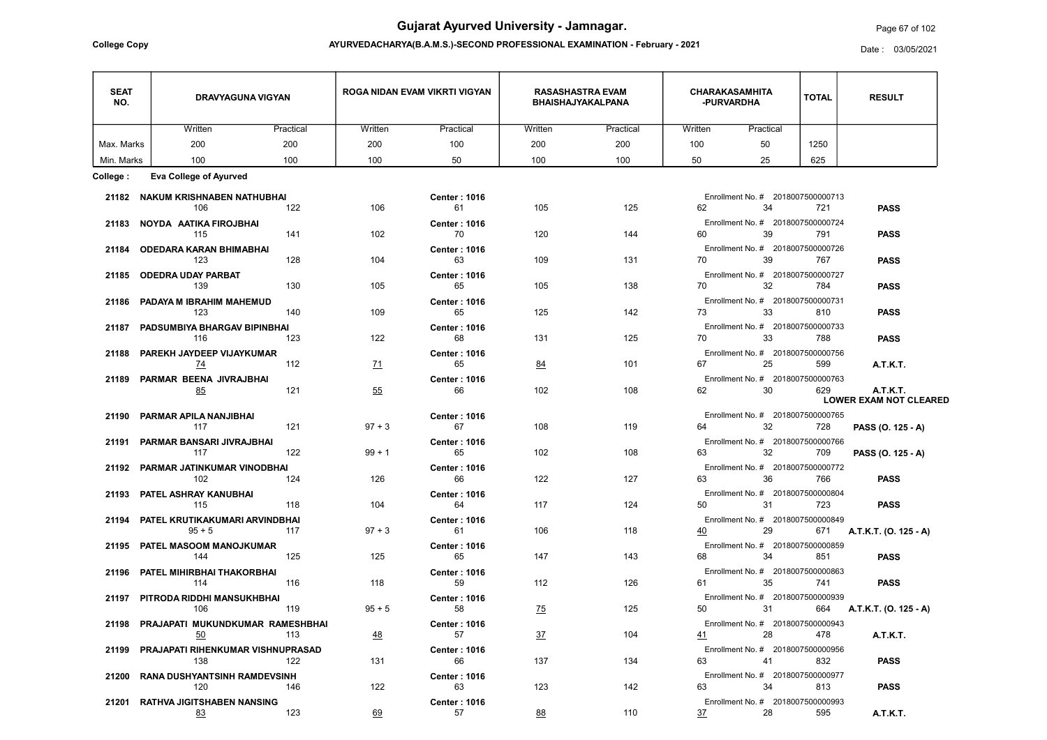AYURVEDACHARYA(B.A.M.S.)-SECOND PROFESSIONAL EXAMINATION - February - 2021 College Copy Date : 03/05/2021

## Page 67 of 102

| <b>SEAT</b><br>NO. | <b>DRAVYAGUNA VIGYAN</b>                |           | ROGA NIDAN EVAM VIKRTI VIGYAN |                           | <b>RASASHASTRA EVAM</b><br><b>BHAISHAJYAKALPANA</b> |           | <b>CHARAKASAMHITA</b><br>-PURVARDHA |                                   | <b>TOTAL</b> | <b>RESULT</b>                                    |
|--------------------|-----------------------------------------|-----------|-------------------------------|---------------------------|-----------------------------------------------------|-----------|-------------------------------------|-----------------------------------|--------------|--------------------------------------------------|
|                    | Written                                 | Practical | Written                       | Practical                 | Written                                             | Practical | Written                             | Practical                         |              |                                                  |
| Max. Marks         | 200                                     | 200       | 200                           | 100                       | 200                                                 | 200       | 100                                 | 50                                | 1250         |                                                  |
| Min. Marks         | 100                                     | 100       | 100                           | 50                        | 100                                                 | 100       | 50                                  | 25                                | 625          |                                                  |
| College :          | <b>Eva College of Ayurved</b>           |           |                               |                           |                                                     |           |                                     |                                   |              |                                                  |
|                    | 21182 NAKUM KRISHNABEN NATHUBHAI        |           |                               | <b>Center: 1016</b>       |                                                     |           |                                     | Enrollment No. # 2018007500000713 |              |                                                  |
|                    | 106                                     | 122       | 106                           | 61                        | 105                                                 | 125       | 62                                  | 34                                | 721          | <b>PASS</b>                                      |
|                    | 21183 NOYDA AATIKA FIROJBHAI            |           |                               | <b>Center: 1016</b>       |                                                     |           |                                     | Enrollment No. # 2018007500000724 |              |                                                  |
|                    | 115                                     | 141       | 102                           | 70                        | 120                                                 | 144       |                                     | 60 39 30                          | 791          | <b>PASS</b>                                      |
|                    | 21184 ODEDARA KARAN BHIMABHAI           |           |                               | <b>Center: 1016</b>       |                                                     |           |                                     | Enrollment No. # 2018007500000726 |              |                                                  |
|                    | 123                                     | 128       | 104                           | 63                        | 109                                                 | 131       | 70                                  | 39                                | 767          | <b>PASS</b>                                      |
|                    | 21185 ODEDRA UDAY PARBAT                |           |                               | <b>Center: 1016</b>       |                                                     |           |                                     | Enrollment No. # 2018007500000727 |              |                                                  |
|                    | 139                                     | 130       | 105                           | 65                        | 105                                                 | 138       |                                     | 70 32                             | 784          | <b>PASS</b>                                      |
|                    | 21186 PADAYA M IBRAHIM MAHEMUD          |           |                               | <b>Center: 1016</b>       |                                                     |           |                                     | Enrollment No. # 2018007500000731 |              |                                                  |
|                    | 123                                     | 140       | 109                           | 65                        | 125                                                 | 142       |                                     | 73 33                             | 810          | <b>PASS</b>                                      |
|                    | 21187 PADSUMBIYA BHARGAV BIPINBHAI      |           |                               | <b>Center: 1016</b>       |                                                     |           |                                     | Enrollment No. # 2018007500000733 |              |                                                  |
|                    | 116                                     | 123       | 122                           | 68                        | 131                                                 | 125       |                                     | 70 33                             | 788          | <b>PASS</b>                                      |
|                    | 21188 PAREKH JAYDEEP VIJAYKUMAR         |           |                               | <b>Center: 1016</b>       |                                                     |           |                                     | Enrollment No. # 2018007500000756 |              |                                                  |
|                    | <u>74</u>                               | 112       | $\underline{71}$              | 65                        | 84                                                  | 101       | 67                                  | 25                                | 599          | <b>A.T.K.T.</b>                                  |
|                    | 21189 PARMAR BEENA JIVRAJBHAI           |           |                               | <b>Center: 1016</b>       |                                                     |           |                                     | Enrollment No. # 2018007500000763 |              |                                                  |
|                    | 85                                      | 121       | 55                            | 66                        | 102                                                 | 108       | 62                                  | 30 <sub>2</sub>                   | 629          | <b>A.T.K.T.</b><br><b>LOWER EXAM NOT CLEARED</b> |
|                    |                                         |           |                               |                           |                                                     |           |                                     |                                   |              |                                                  |
|                    | 21190 PARMAR APILA NANJIBHAI            |           |                               | <b>Center: 1016</b><br>67 |                                                     |           |                                     | Enrollment No. # 2018007500000765 |              |                                                  |
|                    | 117                                     | 121       | $97 + 3$                      |                           | 108                                                 | 119       | 64                                  | $32 - 32$                         | 728          | PASS (O. 125 - A)                                |
| 21191              | PARMAR BANSARI JIVRAJBHAI               |           |                               | <b>Center: 1016</b>       |                                                     |           |                                     | Enrollment No. # 2018007500000766 |              |                                                  |
|                    | 117                                     | 122       | $99 + 1$                      | 65                        | 102                                                 | 108       | 63                                  | 32                                | 709          | PASS (O. 125 - A)                                |
|                    | 21192 PARMAR JATINKUMAR VINODBHAI       |           |                               | <b>Center: 1016</b>       |                                                     |           |                                     | Enrollment No. # 2018007500000772 |              |                                                  |
|                    | 102                                     | 124       | 126                           | 66                        | 122                                                 | 127       | 63                                  | 36                                | 766          | <b>PASS</b>                                      |
|                    | 21193 PATEL ASHRAY KANUBHAI             |           |                               | <b>Center: 1016</b>       |                                                     |           |                                     | Enrollment No. # 2018007500000804 |              |                                                  |
|                    | 118<br>115                              |           | 104                           | 64                        | 117                                                 | 124       | 50                                  | 31                                | 723 —        | <b>PASS</b>                                      |
|                    | 21194 PATEL KRUTIKAKUMARI ARVINDBHAI    |           |                               | <b>Center: 1016</b>       |                                                     |           |                                     | Enrollment No. # 2018007500000849 |              |                                                  |
|                    | $95 + 5$                                | 117       | $97 + 3$                      | 61                        | 106                                                 | 118       |                                     | 40 29                             |              | 671 <b>A.T.K.T. (O. 125 - A)</b>                 |
|                    | 21195 PATEL MASOOM MANOJKUMAR           |           |                               | <b>Center: 1016</b>       |                                                     |           |                                     | Enrollment No. # 2018007500000859 |              |                                                  |
|                    | $\sim$ 125<br>144                       |           | 125                           | 65                        | 147                                                 | 143       |                                     | 68 34                             | 851 — 1      | <b>PASS</b>                                      |
|                    | 21196 PATEL MIHIRBHAI THAKORBHAI        |           |                               | <b>Center: 1016</b>       |                                                     |           |                                     | Enrollment No. # 2018007500000863 |              |                                                  |
|                    | $\sim$ 116<br>114                       |           | 118                           | 59                        | 112                                                 | 126       | 61 - 10                             | 35                                | 741          | <b>PASS</b>                                      |
|                    | 21197 PITRODA RIDDHI MANSUKHBHAI        |           |                               | <b>Center: 1016</b>       |                                                     |           |                                     | Enrollment No. # 2018007500000939 |              |                                                  |
|                    | $\sim$ 119<br>106                       |           | $95 + 5$                      | 58                        | $\frac{75}{2}$                                      | 125       |                                     | 50 31                             |              | 664 <b>A.T.K.T. (O. 125 - A)</b>                 |
|                    | 21198 PRAJAPATI MUKUNDKUMAR RAMESHBHAI  |           |                               | <b>Center: 1016</b>       |                                                     |           |                                     | Enrollment No. # 2018007500000943 |              |                                                  |
|                    | $\underline{50}$                        | 113       | $\frac{48}{}$                 | 57                        | 37                                                  | 104       |                                     | 41 28                             | 478          | <b>A.T.K.T.</b>                                  |
|                    | 21199 PRAJAPATI RIHENKUMAR VISHNUPRASAD |           |                               | <b>Center: 1016</b>       |                                                     |           |                                     | Enrollment No. # 2018007500000956 |              |                                                  |
|                    | 138                                     | 122       | 131                           | 66                        | 137                                                 | 134       |                                     | 63 41                             | 832          | <b>PASS</b>                                      |
|                    | 21200 RANA DUSHYANTSINH RAMDEVSINH      |           |                               | <b>Center: 1016</b>       |                                                     |           |                                     | Enrollment No. # 2018007500000977 |              |                                                  |
|                    | 120                                     | 146       | 122                           | 63                        | 123                                                 | 142       | 63 — 100                            | 34                                | 813          | <b>PASS</b>                                      |
|                    | 21201 RATHVA JIGITSHABEN NANSING        |           |                               | <b>Center: 1016</b>       |                                                     |           |                                     | Enrollment No. # 2018007500000993 |              |                                                  |
|                    | <u>83</u>                               | 123       | 69                            | 57                        | 88                                                  | 110       | 37                                  | 28                                | 595          | A.T.K.T.                                         |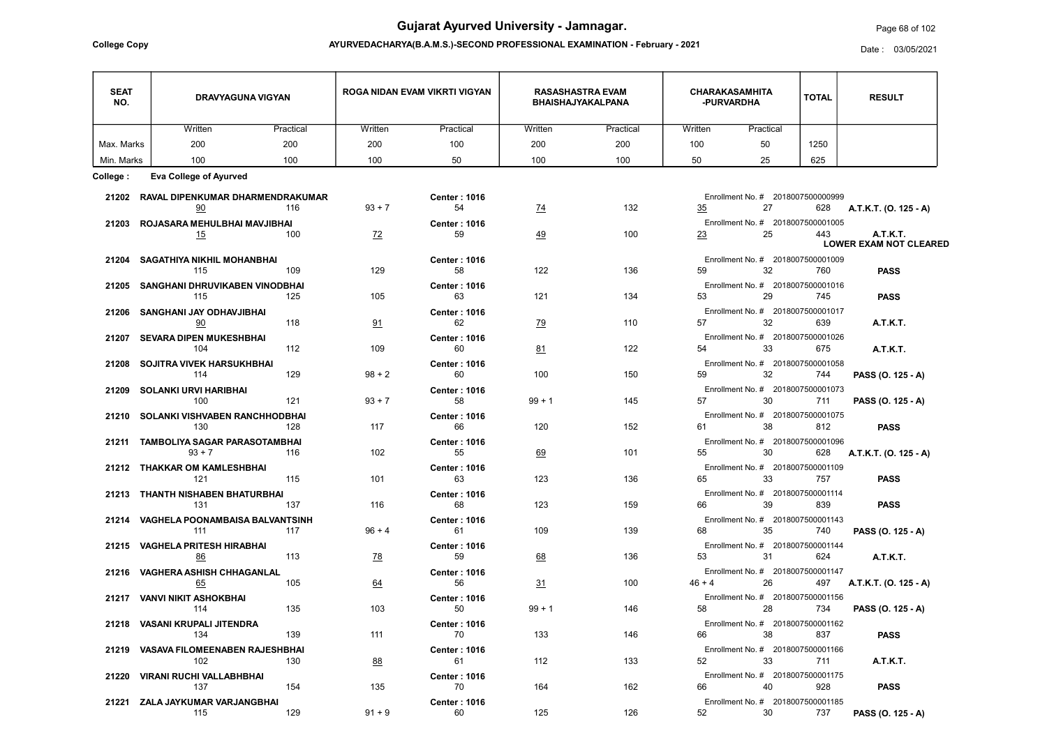AYURVEDACHARYA(B.A.M.S.)-SECOND PROFESSIONAL EXAMINATION - February - 2021 College Copy Date : 03/05/2021

## Page 68 of 102

| <b>SEAT</b><br>NO. | <b>DRAVYAGUNA VIGYAN</b>                     |           | ROGA NIDAN EVAM VIKRTI VIGYAN |                           | <b>RASASHASTRA EVAM</b><br><b>BHAISHAJYAKALPANA</b> |           | <b>CHARAKASAMHITA</b><br>-PURVARDHA |                                                  | <b>TOTAL</b> | <b>RESULT</b>                                    |
|--------------------|----------------------------------------------|-----------|-------------------------------|---------------------------|-----------------------------------------------------|-----------|-------------------------------------|--------------------------------------------------|--------------|--------------------------------------------------|
|                    | Written                                      | Practical | Written                       | Practical                 | Written                                             | Practical | Written                             | Practical                                        |              |                                                  |
| Max. Marks         | 200                                          | 200       | 200                           | 100                       | 200                                                 | 200       | 100                                 | 50                                               | 1250         |                                                  |
| Min. Marks         | 100                                          | 100       | 100                           | 50                        | 100                                                 | 100       | 50                                  | 25                                               | 625          |                                                  |
| College :          | <b>Eva College of Ayurved</b>                |           |                               |                           |                                                     |           |                                     |                                                  |              |                                                  |
|                    | 21202 RAVAL DIPENKUMAR DHARMENDRAKUMAR       |           |                               | <b>Center: 1016</b>       |                                                     |           |                                     | Enrollment No. # 2018007500000999                |              |                                                  |
|                    | 90                                           | 116       | $93 + 7$                      | 54                        | $\underline{74}$                                    | 132       | 35                                  | 27                                               | 628          | A.T.K.T. (O. 125 - A)                            |
|                    | 21203 ROJASARA MEHULBHAI MAVJIBHAI           |           |                               | <b>Center: 1016</b>       |                                                     |           |                                     | Enrollment No. # 2018007500001005                |              |                                                  |
|                    | 15                                           | 100       | Z <sup>2</sup>                | 59                        | 49                                                  | 100       | 23                                  | 25                                               | 443          | <b>A.T.K.T.</b><br><b>LOWER EXAM NOT CLEARED</b> |
|                    | 21204 SAGATHIYA NIKHIL MOHANBHAI<br>115      | 109       | 129                           | <b>Center: 1016</b><br>58 | 122                                                 | 136       | 59                                  | Enrollment No. # 2018007500001009<br>32          | 760          | <b>PASS</b>                                      |
|                    | 21205 SANGHANI DHRUVIKABEN VINODBHAI         |           |                               | <b>Center: 1016</b>       |                                                     |           |                                     | Enrollment No. # 2018007500001016                |              |                                                  |
|                    | 115                                          | 125       | 105                           | 63                        | 121                                                 | 134       | 53                                  | 29                                               | 745          | <b>PASS</b>                                      |
|                    | 21206 SANGHANI JAY ODHAVJIBHAI               |           |                               | <b>Center: 1016</b>       |                                                     |           |                                     | Enrollment No. # 2018007500001017                |              |                                                  |
|                    | 90                                           | 118       | 91                            | 62                        | <u>79</u>                                           | 110       | 57                                  | 32                                               | 639          | <b>A.T.K.T.</b>                                  |
|                    | 21207 SEVARA DIPEN MUKESHBHAI                |           |                               | <b>Center: 1016</b>       |                                                     |           |                                     | Enrollment No. # 2018007500001026                |              |                                                  |
|                    | 104                                          | 112       | 109                           | 60                        | 81                                                  | 122       | 54                                  | 33                                               | 675          | <b>A.T.K.T.</b>                                  |
|                    | 21208 SOJITRA VIVEK HARSUKHBHAI              |           |                               | <b>Center: 1016</b>       | 100                                                 |           |                                     | Enrollment No. # 2018007500001058                |              |                                                  |
|                    | 114                                          | 129       | $98 + 2$                      | 60                        |                                                     | 150       | 59                                  | 32                                               | 744          | PASS (O. 125 - A)                                |
|                    | 21209 SOLANKI URVI HARIBHAI<br>100           | 121       | $93 + 7$                      | <b>Center: 1016</b><br>58 | $99 + 1$                                            | 145       | 57                                  | Enrollment No. # 2018007500001073<br>30          | 711          | PASS (O. 125 - A)                                |
|                    | 21210 SOLANKI VISHVABEN RANCHHODBHAI         |           |                               | <b>Center: 1016</b>       |                                                     |           |                                     | Enrollment No. # 2018007500001075                |              |                                                  |
|                    | 130                                          | 128       | 117                           | 66                        | 120                                                 | 152       | 61                                  | 38 38                                            | 812          | <b>PASS</b>                                      |
| 21211              | <b>TAMBOLIYA SAGAR PARASOTAMBHAI</b>         |           |                               | <b>Center: 1016</b>       |                                                     |           |                                     | Enrollment No. # 2018007500001096                |              |                                                  |
|                    | $93 + 7$                                     | 116       | 102                           | 55                        | 69                                                  | 101       | 55                                  | 30                                               | 628          | A.T.K.T. (O. 125 - A)                            |
|                    | 21212 THAKKAR OM KAMLESHBHAI                 |           |                               | <b>Center: 1016</b>       |                                                     |           |                                     | Enrollment No. # 2018007500001109                |              |                                                  |
|                    | 121                                          | 115       | 101                           | 63                        | 123                                                 | 136       | 65                                  | 33                                               | 757          | <b>PASS</b>                                      |
|                    | 21213 THANTH NISHABEN BHATURBHAI             |           |                               | <b>Center: 1016</b>       |                                                     |           |                                     | Enrollment No. # 2018007500001114                |              |                                                  |
|                    | 131                                          | 137       | 116                           | 68                        | 123                                                 | 159       |                                     | 39                                               | 839          | <b>PASS</b>                                      |
|                    | 21214 VAGHELA POONAMBAISA BALVANTSINH        |           |                               | <b>Center: 1016</b>       |                                                     |           |                                     | Enrollment No. # 2018007500001143                |              |                                                  |
|                    | 111                                          | 117       | $96 + 4$                      | 61                        | 109                                                 | 139       |                                     | 68 35                                            | 740          | PASS (O. 125 - A)                                |
|                    | 21215 VAGHELA PRITESH HIRABHAI               |           |                               | <b>Center: 1016</b>       |                                                     |           |                                     | Enrollment No. # 2018007500001144                |              |                                                  |
|                    | <u>86</u>                                    | 113       | <u>78</u>                     | 59                        | 68                                                  | 136       |                                     | 53 31                                            | 624          | <b>A.T.K.T.</b>                                  |
|                    | 21216 VAGHERA ASHISH CHHAGANLAL<br><u>65</u> | 105       | 64                            | <b>Center: 1016</b><br>56 | 31                                                  | 100       |                                     | Enrollment No. # 2018007500001147<br>$46 + 4$ 26 |              | 497 <b>A.T.K.T. (O. 125 - A)</b>                 |
|                    | 21217 VANVI NIKIT ASHOKBHAI                  |           |                               | <b>Center: 1016</b>       |                                                     |           |                                     | Enrollment No. # 2018007500001156                |              |                                                  |
|                    | - 114                                        | 135       | 103                           | 50                        | $99 + 1$                                            | 146       |                                     | 58 28                                            | 734          | PASS (O. 125 - A)                                |
|                    | 21218 VASANI KRUPALI JITENDRA                |           |                               | <b>Center: 1016</b>       |                                                     |           |                                     | Enrollment No. # 2018007500001162                |              |                                                  |
|                    | 134                                          | 139       | 111                           | 70                        | 133                                                 | 146       |                                     | 38                                               | 837          | <b>PASS</b>                                      |
|                    | 21219 VASAVA FILOMEENABEN RAJESHBHAI         |           |                               | <b>Center: 1016</b>       |                                                     |           |                                     | Enrollment No. # 2018007500001166                |              |                                                  |
|                    | 102                                          | 130       | 88                            | 61                        | 112                                                 | 133       | 52 and $\sim$                       | 33                                               | 711          | <b>A.T.K.T.</b>                                  |
|                    | 21220 VIRANI RUCHI VALLABHBHAI               |           |                               | <b>Center: 1016</b>       |                                                     |           |                                     | Enrollment No. # 2018007500001175                |              |                                                  |
|                    | 137                                          | 154       | 135                           | 70                        | 164                                                 | 162       | 66                                  | 40                                               | 928          | <b>PASS</b>                                      |
|                    | 21221 ZALA JAYKUMAR VARJANGBHAI              |           |                               | <b>Center: 1016</b>       |                                                     |           |                                     | Enrollment No. # 2018007500001185                |              |                                                  |
|                    | 115                                          | 129       | $91 + 9$                      | 60                        | 125                                                 | 126       | 52                                  | 30                                               | 737          | PASS (O. 125 - A)                                |